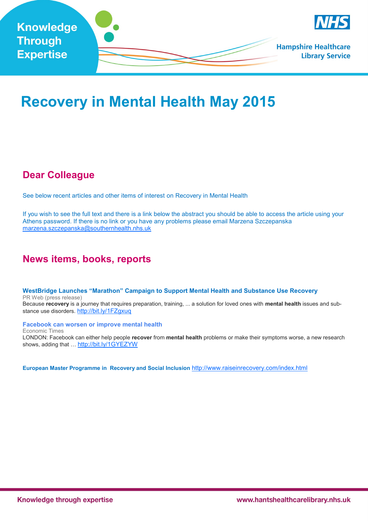

# **Recovery in Mental Health May 2015**

## **Dear Colleague**

See below recent articles and other items of interest on Recovery in Mental Health

If you wish to see the full text and there is a link below the abstract you should be able to access the article using your Athens password. If there is no link or you have any problems please email Marzena Szczepanska [marzena.szczepanska@southernhealth.nhs.uk](mailto:marzena.szczepanska@southernhealth.nhs.uk)

## **News items, books, reports**

**[WestBridge Launches "Marathon" Campaign to Support Mental Health and Substance Use Recovery](https://www.google.com/url?rct=j&sa=t&url=http://www.prweb.com/releases/2015/04/prweb12671643.htm&ct=ga&cd=CAEYCCoTMzU2NDE1MTU3MDAxMTg5MTg2MTIcNDgwOGI1YjMwOTdiMzdkNDpjby51azplbjpHQg&usg=AFQjCNGIad4I-g6IABz695zZs-FUHSetIQ)**  PR Web (press release) Because **recovery** is a journey that requires preparation, training, ... a solution for loved ones with **mental health** issues and substance use disorders. <http://bit.ly/1FZgxuq>

**[Facebook can worsen or improve mental health](https://www.google.com/url?rct=j&sa=t&url=http://economictimes.indiatimes.com/magazines/panache/facebook-can-worsen-or-improve-mental-health/articleshow/46933119.cms&ct=ga&cd=CAEYBioTMTIxOTcyNTIyNzMzNTYyODIxMzIcNDgwOGI1YjMwOTdiMzdkNDpjby51azplbjpHQg&usg=AFQjC)** Economic Times LONDON: Facebook can either help people **recover** from **mental health** problems or make their symptoms worse, a new research shows, adding that ... <http://bit.ly/1GYEZYW>

**European Master Programme in Recovery and Social Inclusion** <http://www.raiseinrecovery.com/index.html>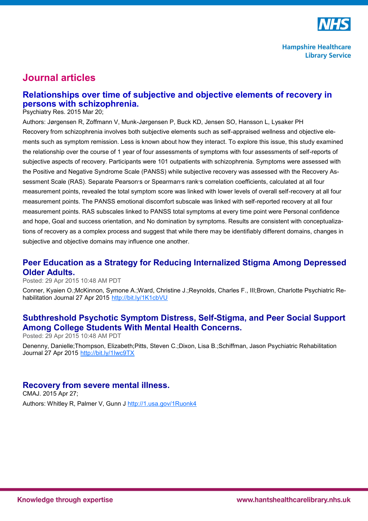

# **Journal articles**

## **Relationships over time of subjective and objective elements of recovery in persons with schizophrenia.**

Psychiatry Res. 2015 Mar 20;

Authors: Jørgensen R, Zoffmann V, Munk-Jørgensen P, Buck KD, Jensen SO, Hansson L, Lysaker PH Recovery from schizophrenia involves both subjective elements such as self-appraised wellness and objective elements such as symptom remission. Less is known about how they interact. To explore this issue, this study examined the relationship over the course of 1 year of four assessments of symptoms with four assessments of self-reports of subjective aspects of recovery. Participants were 101 outpatients with schizophrenia. Symptoms were assessed with the Positive and Negative Syndrome Scale (PANSS) while subjective recovery was assessed with the Recovery Assessment Scale (RAS). Separate Pearson׳s or Spearman׳s rank׳s correlation coefficients, calculated at all four measurement points, revealed the total symptom score was linked with lower levels of overall self-recovery at all four measurement points. The PANSS emotional discomfort subscale was linked with self-reported recovery at all four measurement points. RAS subscales linked to PANSS total symptoms at every time point were Personal confidence and hope, Goal and success orientation, and No domination by symptoms. Results are consistent with conceptualizations of recovery as a complex process and suggest that while there may be identifiably different domains, changes in subjective and objective domains may influence one another.

## **[Peer Education as a Strategy for Reducing Internalized Stigma Among Depressed](http://feedproxy.google.com/~r/LatestArticles-RecoveryInMentalHealth/~3/UnvLuYR5-Cg/1676345188?utm_source=feedburner&utm_medium=email)  [Older Adults.](http://feedproxy.google.com/~r/LatestArticles-RecoveryInMentalHealth/~3/UnvLuYR5-Cg/1676345188?utm_source=feedburner&utm_medium=email)**

Posted: 29 Apr 2015 10:48 AM PDT

Conner, Kyaien O.;McKinnon, Symone A.;Ward, Christine J.;Reynolds, Charles F., III;Brown, Charlotte Psychiatric Rehabilitation Journal 27 Apr 2015 <http://bit.ly/1K1cbVU>

### **[Subthreshold Psychotic Symptom Distress, Self](http://feedproxy.google.com/~r/LatestArticles-RecoveryInMentalHealth/~3/K_NcvsWPiUY/1676345106?utm_source=feedburner&utm_medium=email)-Stigma, and Peer Social Support [Among College Students With Mental Health Concerns.](http://feedproxy.google.com/~r/LatestArticles-RecoveryInMentalHealth/~3/K_NcvsWPiUY/1676345106?utm_source=feedburner&utm_medium=email)**

Posted: 29 Apr 2015 10:48 AM PDT

Denenny, Danielle;Thompson, Elizabeth;Pitts, Steven C.;Dixon, Lisa B.;Schiffman, Jason Psychiatric Rehabilitation Journal 27 Apr 2015 <http://bit.ly/1Iwc9TX>

#### **[Recovery from severe mental illness.](http://feedproxy.google.com/~r/LatestArticles-RecoveryInMentalHealth/~3/ZbP0GhqzNrk/25918179?utm_source=feedburner&utm_medium=email)**

CMAJ. 2015 Apr 27; Authors: Whitley R, Palmer V, Gunn J <http://1.usa.gov/1Ruonk4>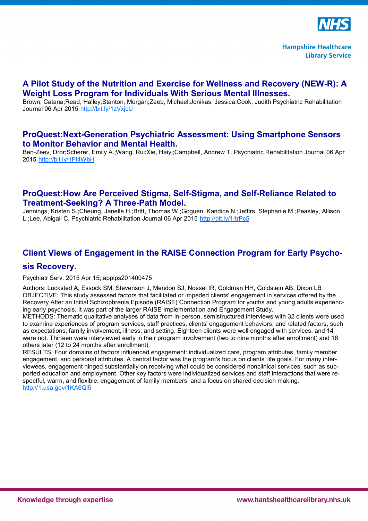

#### **[A Pilot Study of the Nutrition and Exercise for Wellness and Recovery \(NEW](http://feedproxy.google.com/~r/LatestArticles-RecoveryInMentalHealth/~3/ifwBVb2YxXY/1672852209?utm_source=feedburner&utm_medium=email)-R): A [Weight Loss Program for Individuals With Serious Mental Illnesses.](http://feedproxy.google.com/~r/LatestArticles-RecoveryInMentalHealth/~3/ifwBVb2YxXY/1672852209?utm_source=feedburner&utm_medium=email)**

Brown, Catana;Read, Halley;Stanton, Morgan;Zeeb, Michael;Jonikas, Jessica;Cook, Judith Psychiatric Rehabilitation Journal 06 Apr 2015 <http://bit.ly/1zVxjcU>

#### **ProQuest:Next-[Generation Psychiatric Assessment: Using Smartphone Sensors](http://feedproxy.google.com/~r/LatestArticles-RecoveryInMentalHealth/~3/KX4sRHrDHLg/1672852216?utm_source=feedburner&utm_medium=email)  [to Monitor Behavior and Mental Health.](http://feedproxy.google.com/~r/LatestArticles-RecoveryInMentalHealth/~3/KX4sRHrDHLg/1672852216?utm_source=feedburner&utm_medium=email)**

Ben-Zeev, Dror;Scherer, Emily A.;Wang, Rui;Xie, Haiyi;Campbell, Andrew T. Psychiatric Rehabilitation Journal 06 Apr 2015 <http://bit.ly/1Ff4WbH>

#### **[ProQuest:How Are Perceived Stigma, Self](http://feedproxy.google.com/~r/LatestArticles-RecoveryInMentalHealth/~3/wAiILRqcywo/1672852265?utm_source=feedburner&utm_medium=email)-Stigma, and Self-Reliance Related to Treatment-[Seeking? A Three](http://feedproxy.google.com/~r/LatestArticles-RecoveryInMentalHealth/~3/wAiILRqcywo/1672852265?utm_source=feedburner&utm_medium=email)-Path Model.**

Jennings, Kristen S.;Cheung, Janelle H.;Britt, Thomas W.;Goguen, Kandice N.;Jeffirs, Stephanie M.;Peasley, Allison L.;Lee, Abigail C. Psychiatric Rehabilitation Journal 06 Apr 2015 <http://bit.ly/1ItrPc5>

### **[Client Views of Engagement in the RAISE Connection Program for Early Psycho-](http://feedproxy.google.com/~r/LatestArticles-RecoveryInMentalHealth/~3/V_MauT8gXQA/25873029?utm_source=feedburner&utm_medium=email)**

#### **[sis Recovery.](http://feedproxy.google.com/~r/LatestArticles-RecoveryInMentalHealth/~3/V_MauT8gXQA/25873029?utm_source=feedburner&utm_medium=email)**

Psychiatr Serv. 2015 Apr 15;:appips201400475

Authors: Lucksted A, Essock SM, Stevenson J, Mendon SJ, Nossel IR, Goldman HH, Goldstein AB, Dixon LB OBJECTIVE: This study assessed factors that facilitated or impeded clients' engagement in services offered by the Recovery After an Initial Schizophrenia Episode (RAISE) Connection Program for youths and young adults experiencing early psychosis. It was part of the larger RAISE Implementation and Engagement Study.

METHODS: Thematic qualitative analyses of data from in-person, semistructured interviews with 32 clients were used to examine experiences of program services, staff practices, clients' engagement behaviors, and related factors, such as expectations, family involvement, illness, and setting. Eighteen clients were well engaged with services, and 14 were not. Thirteen were interviewed early in their program involvement (two to nine months after enrollment) and 18 others later (12 to 24 months after enrollment).

RESULTS: Four domains of factors influenced engagement: individualized care, program attributes, family member engagement, and personal attributes. A central factor was the program's focus on clients' life goals. For many interviewees, engagement hinged substantially on receiving what could be considered nonclinical services, such as supported education and employment. Other key factors were individualized services and staff interactions that were respectful, warm, and flexible; engagement of family members; and a focus on shared decision making. <http://1.usa.gov/1KA6Ql5>